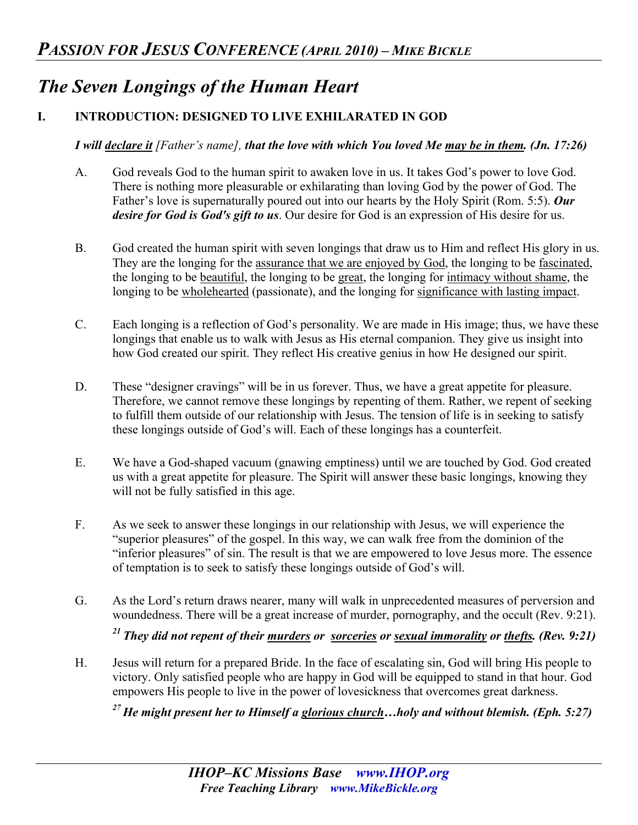# *The Seven Longings of the Human Heart*

# **I. INTRODUCTION: DESIGNED TO LIVE EXHILARATED IN GOD**

### *I will declare it [Father's name], that the love with which You loved Me may be in them. (Jn. 17:26)*

- A. God reveals God to the human spirit to awaken love in us. It takes God's power to love God. There is nothing more pleasurable or exhilarating than loving God by the power of God. The Father's love is supernaturally poured out into our hearts by the Holy Spirit (Rom. 5:5). *Our desire for God is God's gift to us*. Our desire for God is an expression of His desire for us.
- B. God created the human spirit with seven longings that draw us to Him and reflect His glory in us. They are the longing for the assurance that we are enjoyed by God, the longing to be fascinated, the longing to be beautiful, the longing to be great, the longing for intimacy without shame, the longing to be wholehearted (passionate), and the longing for significance with lasting impact.
- C. Each longing is a reflection of God's personality. We are made in His image; thus, we have these longings that enable us to walk with Jesus as His eternal companion. They give us insight into how God created our spirit. They reflect His creative genius in how He designed our spirit.
- D. These "designer cravings" will be in us forever. Thus, we have a great appetite for pleasure. Therefore, we cannot remove these longings by repenting of them. Rather, we repent of seeking to fulfill them outside of our relationship with Jesus. The tension of life is in seeking to satisfy these longings outside of God's will. Each of these longings has a counterfeit.
- E. We have a God-shaped vacuum (gnawing emptiness) until we are touched by God. God created us with a great appetite for pleasure. The Spirit will answer these basic longings, knowing they will not be fully satisfied in this age.
- F. As we seek to answer these longings in our relationship with Jesus, we will experience the "superior pleasures" of the gospel. In this way, we can walk free from the dominion of the "inferior pleasures" of sin. The result is that we are empowered to love Jesus more. The essence of temptation is to seek to satisfy these longings outside of God's will.
- G. As the Lord's return draws nearer, many will walk in unprecedented measures of perversion and woundedness. There will be a great increase of murder, pornography, and the occult (Rev. 9:21). *21 They did not repent of their murders or sorceries or sexual immorality or thefts. (Rev. 9:21)*
- H. Jesus will return for a prepared Bride. In the face of escalating sin, God will bring His people to victory. Only satisfied people who are happy in God will be equipped to stand in that hour. God empowers His people to live in the power of lovesickness that overcomes great darkness.

*27 He might present her to Himself a glorious church…holy and without blemish. (Eph. 5:27)*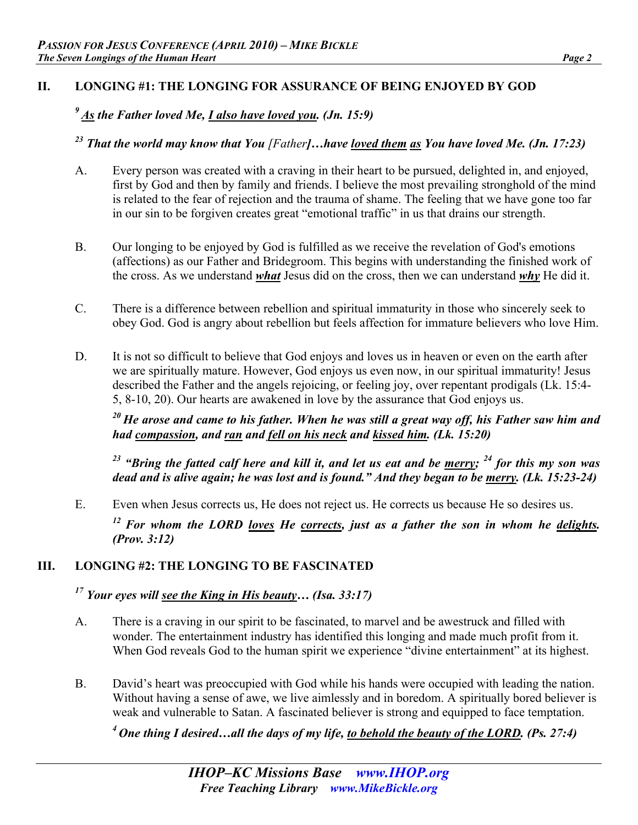### **II. LONGING #1: THE LONGING FOR ASSURANCE OF BEING ENJOYED BY GOD**

# *9 As the Father loved Me, I also have loved you. (Jn. 15:9)*

*23 That the world may know that You [Father]…have loved them as You have loved Me. (Jn. 17:23)* 

- A. Every person was created with a craving in their heart to be pursued, delighted in, and enjoyed, first by God and then by family and friends. I believe the most prevailing stronghold of the mind is related to the fear of rejection and the trauma of shame. The feeling that we have gone too far in our sin to be forgiven creates great "emotional traffic" in us that drains our strength.
- B. Our longing to be enjoyed by God is fulfilled as we receive the revelation of God's emotions (affections) as our Father and Bridegroom. This begins with understanding the finished work of the cross. As we understand *what* Jesus did on the cross, then we can understand *why* He did it.
- C. There is a difference between rebellion and spiritual immaturity in those who sincerely seek to obey God. God is angry about rebellion but feels affection for immature believers who love Him.
- D. It is not so difficult to believe that God enjoys and loves us in heaven or even on the earth after we are spiritually mature. However, God enjoys us even now, in our spiritual immaturity! Jesus described the Father and the angels rejoicing, or feeling joy, over repentant prodigals (Lk. 15:4- 5, 8-10, 20). Our hearts are awakened in love by the assurance that God enjoys us.

*20 He arose and came to his father. When he was still a great way off, his Father saw him and had compassion, and ran and fell on his neck and kissed him. (Lk. 15:20)* 

<sup>23</sup> "Bring the fatted calf here and kill it, and let us eat and be <u>merry</u>; <sup>24</sup> for this my son was *dead and is alive again; he was lost and is found." And they began to be merry. (Lk. 15:23-24)* 

E. Even when Jesus corrects us, He does not reject us. He corrects us because He so desires us. <sup>12</sup> For whom the LORD <u>loves</u> He corrects, just as a father the son in whom he delights. *(Prov. 3:12)* 

# **III. LONGING #2: THE LONGING TO BE FASCINATED**

# *17 Your eyes will see the King in His beauty… (Isa. 33:17)*

- A. There is a craving in our spirit to be fascinated, to marvel and be awestruck and filled with wonder. The entertainment industry has identified this longing and made much profit from it. When God reveals God to the human spirit we experience "divine entertainment" at its highest.
- B. David's heart was preoccupied with God while his hands were occupied with leading the nation. Without having a sense of awe, we live aimlessly and in boredom. A spiritually bored believer is weak and vulnerable to Satan. A fascinated believer is strong and equipped to face temptation.

*4 One thing I desired…all the days of my life, to behold the beauty of the LORD. (Ps. 27:4)*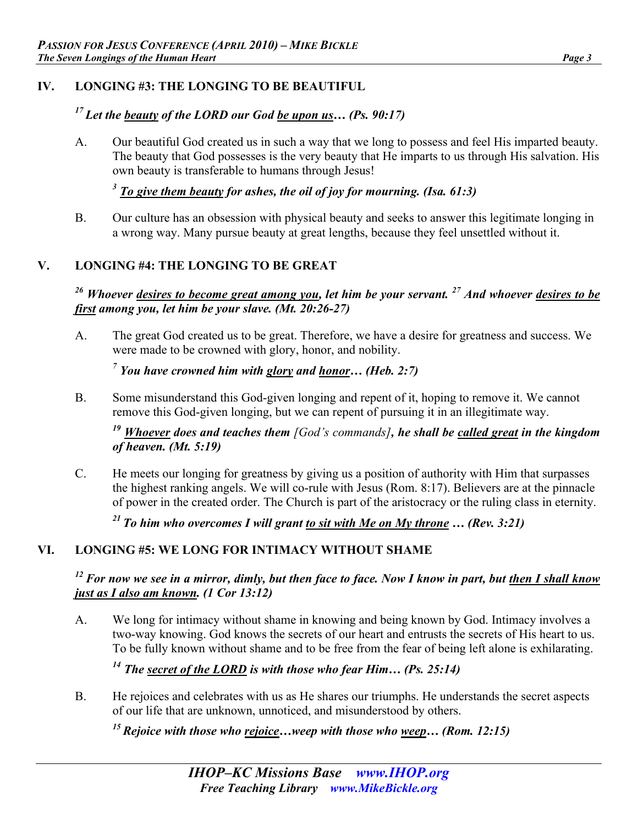### **IV. LONGING #3: THE LONGING TO BE BEAUTIFUL**

# *17 Let the beauty of the LORD our God be upon us… (Ps. 90:17)*

A. Our beautiful God created us in such a way that we long to possess and feel His imparted beauty. The beauty that God possesses is the very beauty that He imparts to us through His salvation. His own beauty is transferable to humans through Jesus!

*<sup>3</sup> To give them beauty for ashes, the oil of joy for mourning. (Isa. 61:3)*

B. Our culture has an obsession with physical beauty and seeks to answer this legitimate longing in a wrong way. Many pursue beauty at great lengths, because they feel unsettled without it.

#### **V. LONGING #4: THE LONGING TO BE GREAT**

*26 Whoever desires to become great among you, let him be your servant. 27 And whoever desires to be first among you, let him be your slave. (Mt. 20:26-27)*

A. The great God created us to be great. Therefore, we have a desire for greatness and success. We were made to be crowned with glory, honor, and nobility.

*7 You have crowned him with glory and honor… (Heb. 2:7)* 

B. Some misunderstand this God-given longing and repent of it, hoping to remove it. We cannot remove this God-given longing, but we can repent of pursuing it in an illegitimate way.

*<sup>19</sup> Whoever does and teaches them [God's commands], he shall be called great in the kingdom of heaven. (Mt. 5:19)* 

C. He meets our longing for greatness by giving us a position of authority with Him that surpasses the highest ranking angels. We will co-rule with Jesus (Rom. 8:17). Believers are at the pinnacle of power in the created order. The Church is part of the aristocracy or the ruling class in eternity.

<sup>21</sup> To him who overcomes I will grant to sit with Me on My throne  $\ldots$  (Rev. 3:21)

# **VI. LONGING #5: WE LONG FOR INTIMACY WITHOUT SHAME**

#### *12 For now we see in a mirror, dimly, but then face to face. Now I know in part, but then I shall know just as I also am known. (1 Cor 13:12)*

A. We long for intimacy without shame in knowing and being known by God. Intimacy involves a two-way knowing. God knows the secrets of our heart and entrusts the secrets of His heart to us. To be fully known without shame and to be free from the fear of being left alone is exhilarating.

# *14 The secret of the LORD is with those who fear Him… (Ps. 25:14)*

B. He rejoices and celebrates with us as He shares our triumphs. He understands the secret aspects of our life that are unknown, unnoticed, and misunderstood by others.

*15 Rejoice with those who rejoice…weep with those who weep… (Rom. 12:15)*